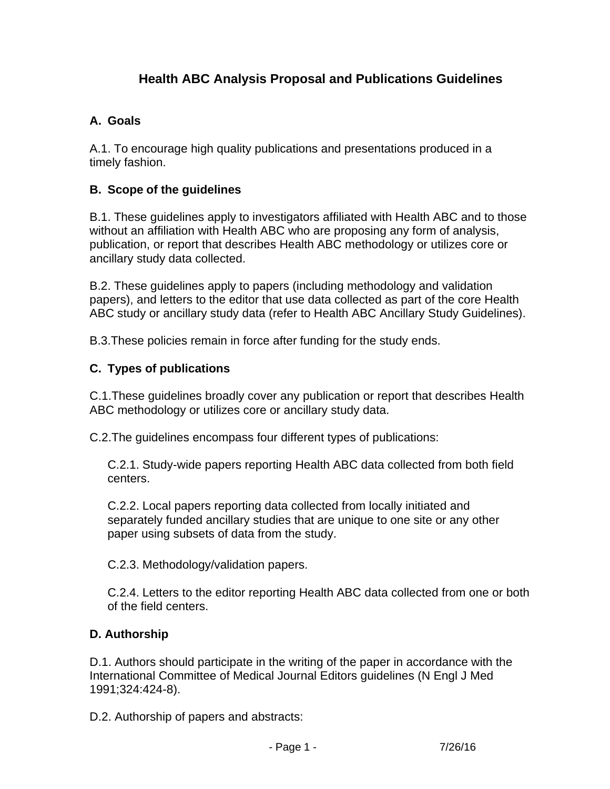# **Health ABC Analysis Proposal and Publications Guidelines**

## **A. Goals**

A.1. To encourage high quality publications and presentations produced in a timely fashion.

### **B. Scope of the guidelines**

B.1. These guidelines apply to investigators affiliated with Health ABC and to those without an affiliation with Health ABC who are proposing any form of analysis, publication, or report that describes Health ABC methodology or utilizes core or ancillary study data collected.

B.2. These guidelines apply to papers (including methodology and validation papers), and letters to the editor that use data collected as part of the core Health ABC study or ancillary study data (refer to Health ABC Ancillary Study Guidelines).

B.3.These policies remain in force after funding for the study ends.

#### **C. Types of publications**

C.1.These guidelines broadly cover any publication or report that describes Health ABC methodology or utilizes core or ancillary study data.

C.2.The guidelines encompass four different types of publications:

C.2.1. Study-wide papers reporting Health ABC data collected from both field centers.

C.2.2. Local papers reporting data collected from locally initiated and separately funded ancillary studies that are unique to one site or any other paper using subsets of data from the study.

C.2.3. Methodology/validation papers.

C.2.4. Letters to the editor reporting Health ABC data collected from one or both of the field centers.

#### **D. Authorship**

D.1. Authors should participate in the writing of the paper in accordance with the International Committee of Medical Journal Editors guidelines (N Engl J Med 1991;324:424-8).

D.2. Authorship of papers and abstracts: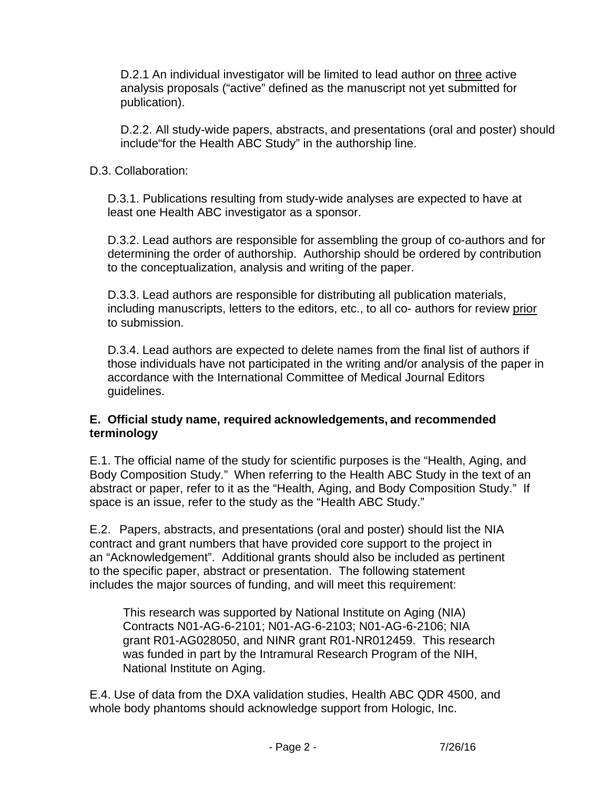D.2.1 An individual investigator will be limited to lead author on three active analysis proposals ("active" defined as the manuscript not yet submitted for publication).

D.2.2. All study-wide papers, abstracts, and presentations (oral and poster) should include"for the Health ABC Study" in the authorship line.

#### D.3. Collaboration:

D.3.1. Publications resulting from study-wide analyses are expected to have at least one Health ABC investigator as a sponsor.

D.3.2. Lead authors are responsible for assembling the group of co-authors and for determining the order of authorship. Authorship should be ordered by contribution to the conceptualization, analysis and writing of the paper.

D.3.3. Lead authors are responsible for distributing all publication materials, including manuscripts, letters to the editors, etc., to all co- authors for review prior to submission.

D.3.4. Lead authors are expected to delete names from the final list of authors if those individuals have not participated in the writing and/or analysis of the paper in accordance with the International Committee of Medical Journal Editors guidelines.

#### **E. Official study name, required acknowledgements, and recommended terminology**

E.1. The official name of the study for scientific purposes is the "Health, Aging, and Body Composition Study." When referring to the Health ABC Study in the text of an abstract or paper, refer to it as the "Health, Aging, and Body Composition Study." If space is an issue, refer to the study as the "Health ABC Study."

E.2. Papers, abstracts, and presentations (oral and poster) should list the NIA contract and grant numbers that have provided core support to the project in an "Acknowledgement". Additional grants should also be included as pertinent to the specific paper, abstract or presentation. The following statement includes the major sources of funding, and will meet this requirement:

This research was supported by National Institute on Aging (NIA) Contracts N01-AG-6-2101; N01-AG-6-2103; N01-AG-6-2106; NIA grant R01-AG028050, and NINR grant R01-NR012459. This research was funded in part by the Intramural Research Program of the NIH, National Institute on Aging.

E.4. Use of data from the DXA validation studies, Health ABC QDR 4500, and whole body phantoms should acknowledge support from Hologic, Inc.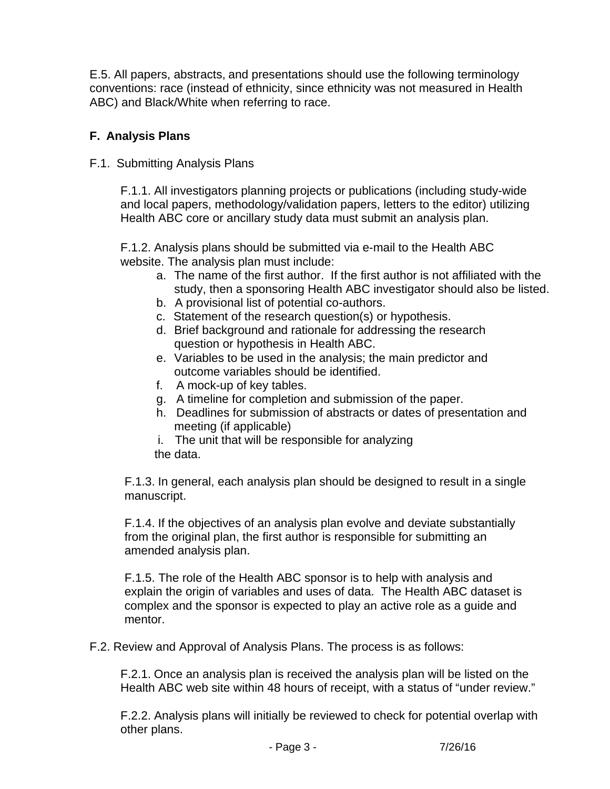E.5. All papers, abstracts, and presentations should use the following terminology conventions: race (instead of ethnicity, since ethnicity was not measured in Health ABC) and Black/White when referring to race.

# **F. Analysis Plans**

F.1. Submitting Analysis Plans

F.1.1. All investigators planning projects or publications (including study-wide and local papers, methodology/validation papers, letters to the editor) utilizing Health ABC core or ancillary study data must submit an analysis plan.

F.1.2. Analysis plans should be submitted via e-mail to the Health ABC website. The analysis plan must include:

- a. The name of the first author. If the first author is not affiliated with the study, then a sponsoring Health ABC investigator should also be listed.
- b. A provisional list of potential co-authors.
- c. Statement of the research question(s) or hypothesis.
- d. Brief background and rationale for addressing the research question or hypothesis in Health ABC.
- e. Variables to be used in the analysis; the main predictor and outcome variables should be identified.
- f. A mock-up of key tables.
- g. A timeline for completion and submission of the paper.
- h. Deadlines for submission of abstracts or dates of presentation and meeting (if applicable)
- i. The unit that will be responsible for analyzing the data.

F.1.3. In general, each analysis plan should be designed to result in a single manuscript.

F.1.4. If the objectives of an analysis plan evolve and deviate substantially from the original plan, the first author is responsible for submitting an amended analysis plan.

F.1.5. The role of the Health ABC sponsor is to help with analysis and explain the origin of variables and uses of data. The Health ABC dataset is complex and the sponsor is expected to play an active role as a guide and mentor.

F.2. Review and Approval of Analysis Plans. The process is as follows:

F.2.1. Once an analysis plan is received the analysis plan will be listed on the Health ABC web site within 48 hours of receipt, with a status of "under review."

F.2.2. Analysis plans will initially be reviewed to check for potential overlap with other plans.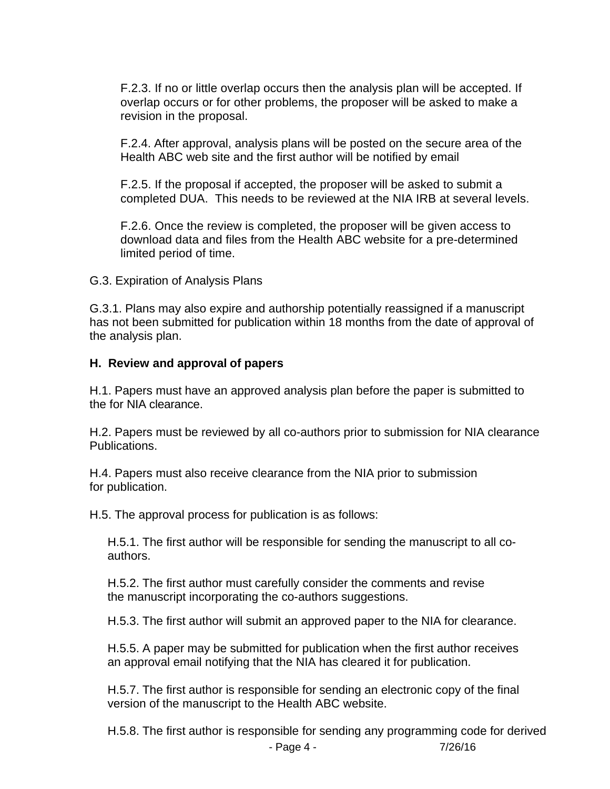F.2.3. If no or little overlap occurs then the analysis plan will be accepted. If overlap occurs or for other problems, the proposer will be asked to make a revision in the proposal.

F.2.4. After approval, analysis plans will be posted on the secure area of the Health ABC web site and the first author will be notified by email

F.2.5. If the proposal if accepted, the proposer will be asked to submit a completed DUA. This needs to be reviewed at the NIA IRB at several levels.

F.2.6. Once the review is completed, the proposer will be given access to download data and files from the Health ABC website for a pre-determined limited period of time.

G.3. Expiration of Analysis Plans

G.3.1. Plans may also expire and authorship potentially reassigned if a manuscript has not been submitted for publication within 18 months from the date of approval of the analysis plan.

#### **H. Review and approval of papers**

H.1. Papers must have an approved analysis plan before the paper is submitted to the for NIA clearance.

H.2. Papers must be reviewed by all co-authors prior to submission for NIA clearance Publications.

H.4. Papers must also receive clearance from the NIA prior to submission for publication.

H.5. The approval process for publication is as follows:

H.5.1. The first author will be responsible for sending the manuscript to all coauthors.

H.5.2. The first author must carefully consider the comments and revise the manuscript incorporating the co-authors suggestions.

H.5.3. The first author will submit an approved paper to the NIA for clearance.

H.5.5. A paper may be submitted for publication when the first author receives an approval email notifying that the NIA has cleared it for publication.

H.5.7. The first author is responsible for sending an electronic copy of the final version of the manuscript to the Health ABC website.

- Page 4 - 7/26/16 H.5.8. The first author is responsible for sending any programming code for derived